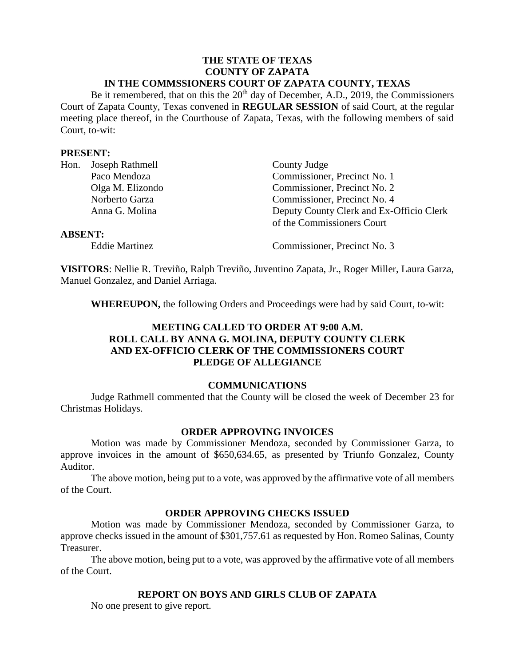# **THE STATE OF TEXAS COUNTY OF ZAPATA IN THE COMMSSIONERS COURT OF ZAPATA COUNTY, TEXAS**

Be it remembered, that on this the 20<sup>th</sup> day of December, A.D., 2019, the Commissioners Court of Zapata County, Texas convened in **REGULAR SESSION** of said Court, at the regular meeting place thereof, in the Courthouse of Zapata, Texas, with the following members of said Court, to-wit:

#### **PRESENT:**

|                | Hon. Joseph Rathmell | County Judge                             |
|----------------|----------------------|------------------------------------------|
|                | Paco Mendoza         | Commissioner, Precinct No. 1             |
|                | Olga M. Elizondo     | Commissioner, Precinct No. 2             |
|                | Norberto Garza       | Commissioner, Precinct No. 4             |
|                | Anna G. Molina       | Deputy County Clerk and Ex-Officio Clerk |
|                |                      | of the Commissioners Court               |
| <b>ABSENT:</b> |                      |                                          |

Eddie Martinez Commissioner, Precinct No. 3

**VISITORS**: Nellie R. Treviño, Ralph Treviño, Juventino Zapata, Jr., Roger Miller, Laura Garza, Manuel Gonzalez, and Daniel Arriaga.

**WHEREUPON,** the following Orders and Proceedings were had by said Court, to-wit:

# **MEETING CALLED TO ORDER AT 9:00 A.M. ROLL CALL BY ANNA G. MOLINA, DEPUTY COUNTY CLERK AND EX-OFFICIO CLERK OF THE COMMISSIONERS COURT PLEDGE OF ALLEGIANCE**

### **COMMUNICATIONS**

Judge Rathmell commented that the County will be closed the week of December 23 for Christmas Holidays.

### **ORDER APPROVING INVOICES**

Motion was made by Commissioner Mendoza, seconded by Commissioner Garza, to approve invoices in the amount of \$650,634.65, as presented by Triunfo Gonzalez, County Auditor.

The above motion, being put to a vote, was approved by the affirmative vote of all members of the Court.

### **ORDER APPROVING CHECKS ISSUED**

Motion was made by Commissioner Mendoza, seconded by Commissioner Garza, to approve checks issued in the amount of \$301,757.61 as requested by Hon. Romeo Salinas, County Treasurer.

The above motion, being put to a vote, was approved by the affirmative vote of all members of the Court.

# **REPORT ON BOYS AND GIRLS CLUB OF ZAPATA**

No one present to give report.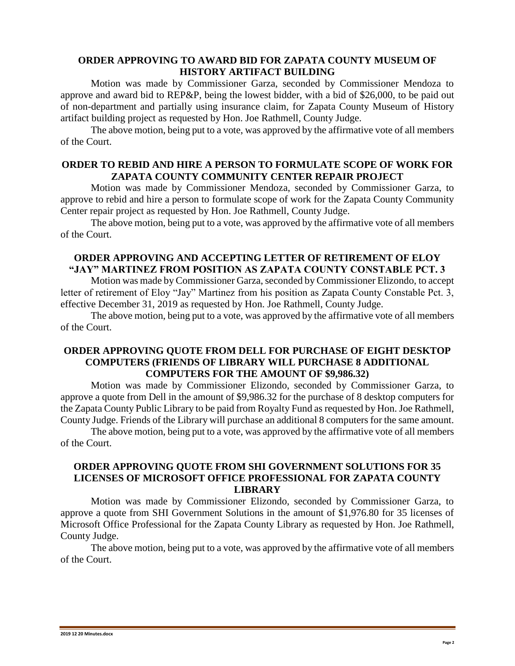# **ORDER APPROVING TO AWARD BID FOR ZAPATA COUNTY MUSEUM OF HISTORY ARTIFACT BUILDING**

Motion was made by Commissioner Garza, seconded by Commissioner Mendoza to approve and award bid to REP&P, being the lowest bidder, with a bid of \$26,000, to be paid out of non-department and partially using insurance claim, for Zapata County Museum of History artifact building project as requested by Hon. Joe Rathmell, County Judge.

The above motion, being put to a vote, was approved by the affirmative vote of all members of the Court.

### **ORDER TO REBID AND HIRE A PERSON TO FORMULATE SCOPE OF WORK FOR ZAPATA COUNTY COMMUNITY CENTER REPAIR PROJECT**

Motion was made by Commissioner Mendoza, seconded by Commissioner Garza, to approve to rebid and hire a person to formulate scope of work for the Zapata County Community Center repair project as requested by Hon. Joe Rathmell, County Judge.

The above motion, being put to a vote, was approved by the affirmative vote of all members of the Court.

# **ORDER APPROVING AND ACCEPTING LETTER OF RETIREMENT OF ELOY "JAY" MARTINEZ FROM POSITION AS ZAPATA COUNTY CONSTABLE PCT. 3**

Motion was made by Commissioner Garza, seconded by Commissioner Elizondo, to accept letter of retirement of Eloy "Jay" Martinez from his position as Zapata County Constable Pct. 3, effective December 31, 2019 as requested by Hon. Joe Rathmell, County Judge.

The above motion, being put to a vote, was approved by the affirmative vote of all members of the Court.

### **ORDER APPROVING QUOTE FROM DELL FOR PURCHASE OF EIGHT DESKTOP COMPUTERS (FRIENDS OF LIBRARY WILL PURCHASE 8 ADDITIONAL COMPUTERS FOR THE AMOUNT OF \$9,986.32)**

Motion was made by Commissioner Elizondo, seconded by Commissioner Garza, to approve a quote from Dell in the amount of \$9,986.32 for the purchase of 8 desktop computers for the Zapata County Public Library to be paid from Royalty Fund as requested by Hon. Joe Rathmell, County Judge. Friends of the Library will purchase an additional 8 computers for the same amount.

The above motion, being put to a vote, was approved by the affirmative vote of all members of the Court.

# **ORDER APPROVING QUOTE FROM SHI GOVERNMENT SOLUTIONS FOR 35 LICENSES OF MICROSOFT OFFICE PROFESSIONAL FOR ZAPATA COUNTY LIBRARY**

Motion was made by Commissioner Elizondo, seconded by Commissioner Garza, to approve a quote from SHI Government Solutions in the amount of \$1,976.80 for 35 licenses of Microsoft Office Professional for the Zapata County Library as requested by Hon. Joe Rathmell, County Judge.

The above motion, being put to a vote, was approved by the affirmative vote of all members of the Court.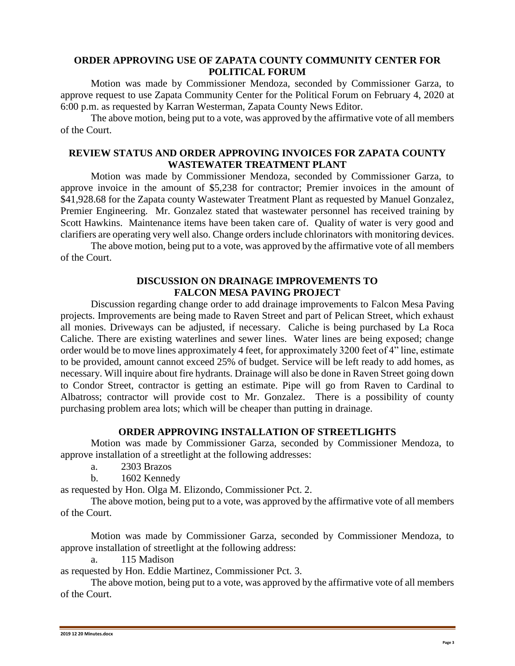# **ORDER APPROVING USE OF ZAPATA COUNTY COMMUNITY CENTER FOR POLITICAL FORUM**

Motion was made by Commissioner Mendoza, seconded by Commissioner Garza, to approve request to use Zapata Community Center for the Political Forum on February 4, 2020 at 6:00 p.m. as requested by Karran Westerman, Zapata County News Editor.

The above motion, being put to a vote, was approved by the affirmative vote of all members of the Court.

# **REVIEW STATUS AND ORDER APPROVING INVOICES FOR ZAPATA COUNTY WASTEWATER TREATMENT PLANT**

Motion was made by Commissioner Mendoza, seconded by Commissioner Garza, to approve invoice in the amount of \$5,238 for contractor; Premier invoices in the amount of \$41,928.68 for the Zapata county Wastewater Treatment Plant as requested by Manuel Gonzalez, Premier Engineering. Mr. Gonzalez stated that wastewater personnel has received training by Scott Hawkins. Maintenance items have been taken care of. Quality of water is very good and clarifiers are operating very well also. Change orders include chlorinators with monitoring devices.

The above motion, being put to a vote, was approved by the affirmative vote of all members of the Court.

#### **DISCUSSION ON DRAINAGE IMPROVEMENTS TO FALCON MESA PAVING PROJECT**

Discussion regarding change order to add drainage improvements to Falcon Mesa Paving projects. Improvements are being made to Raven Street and part of Pelican Street, which exhaust all monies. Driveways can be adjusted, if necessary. Caliche is being purchased by La Roca Caliche. There are existing waterlines and sewer lines. Water lines are being exposed; change order would be to move lines approximately 4 feet, for approximately 3200 feet of 4" line, estimate to be provided, amount cannot exceed 25% of budget. Service will be left ready to add homes, as necessary. Will inquire about fire hydrants. Drainage will also be done in Raven Street going down to Condor Street, contractor is getting an estimate. Pipe will go from Raven to Cardinal to Albatross; contractor will provide cost to Mr. Gonzalez. There is a possibility of county purchasing problem area lots; which will be cheaper than putting in drainage.

### **ORDER APPROVING INSTALLATION OF STREETLIGHTS**

Motion was made by Commissioner Garza, seconded by Commissioner Mendoza, to approve installation of a streetlight at the following addresses:

a. 2303 Brazos

b. 1602 Kennedy

as requested by Hon. Olga M. Elizondo, Commissioner Pct. 2.

The above motion, being put to a vote, was approved by the affirmative vote of all members of the Court.

Motion was made by Commissioner Garza, seconded by Commissioner Mendoza, to approve installation of streetlight at the following address:

a. 115 Madison

as requested by Hon. Eddie Martinez, Commissioner Pct. 3.

The above motion, being put to a vote, was approved by the affirmative vote of all members of the Court.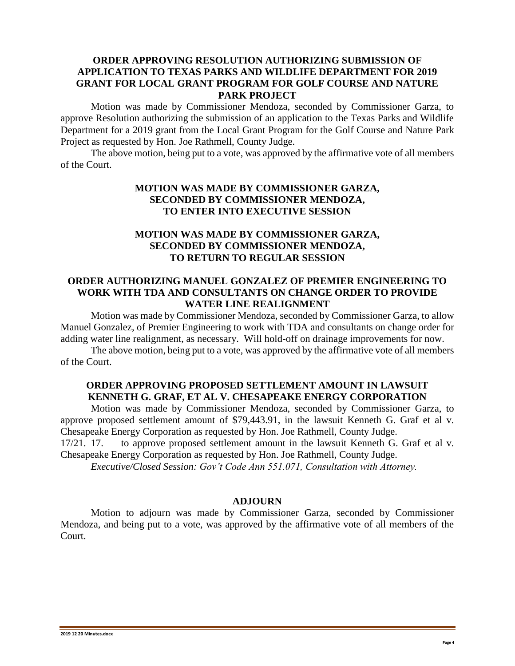# **ORDER APPROVING RESOLUTION AUTHORIZING SUBMISSION OF APPLICATION TO TEXAS PARKS AND WILDLIFE DEPARTMENT FOR 2019 GRANT FOR LOCAL GRANT PROGRAM FOR GOLF COURSE AND NATURE PARK PROJECT**

Motion was made by Commissioner Mendoza, seconded by Commissioner Garza, to approve Resolution authorizing the submission of an application to the Texas Parks and Wildlife Department for a 2019 grant from the Local Grant Program for the Golf Course and Nature Park Project as requested by Hon. Joe Rathmell, County Judge.

The above motion, being put to a vote, was approved by the affirmative vote of all members of the Court.

# **MOTION WAS MADE BY COMMISSIONER GARZA, SECONDED BY COMMISSIONER MENDOZA, TO ENTER INTO EXECUTIVE SESSION**

# **MOTION WAS MADE BY COMMISSIONER GARZA, SECONDED BY COMMISSIONER MENDOZA, TO RETURN TO REGULAR SESSION**

#### **ORDER AUTHORIZING MANUEL GONZALEZ OF PREMIER ENGINEERING TO WORK WITH TDA AND CONSULTANTS ON CHANGE ORDER TO PROVIDE WATER LINE REALIGNMENT**

Motion was made by Commissioner Mendoza, seconded by Commissioner Garza, to allow Manuel Gonzalez, of Premier Engineering to work with TDA and consultants on change order for adding water line realignment, as necessary. Will hold-off on drainage improvements for now.

The above motion, being put to a vote, was approved by the affirmative vote of all members of the Court.

# **ORDER APPROVING PROPOSED SETTLEMENT AMOUNT IN LAWSUIT KENNETH G. GRAF, ET AL V. CHESAPEAKE ENERGY CORPORATION**

Motion was made by Commissioner Mendoza, seconded by Commissioner Garza, to approve proposed settlement amount of \$79,443.91, in the lawsuit Kenneth G. Graf et al v. Chesapeake Energy Corporation as requested by Hon. Joe Rathmell, County Judge.

17/21. 17. to approve proposed settlement amount in the lawsuit Kenneth G. Graf et al v. Chesapeake Energy Corporation as requested by Hon. Joe Rathmell, County Judge.

*Executive/Closed Session: Gov't Code Ann 551.071, Consultation with Attorney.*

### **ADJOURN**

Motion to adjourn was made by Commissioner Garza, seconded by Commissioner Mendoza, and being put to a vote, was approved by the affirmative vote of all members of the Court.